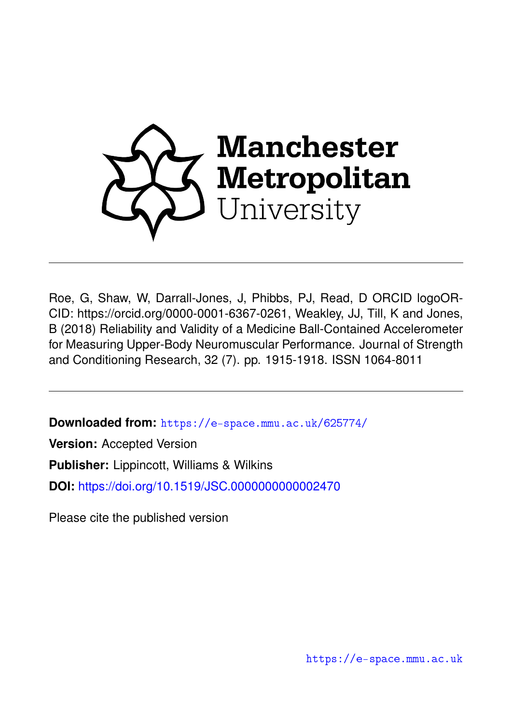

Roe, G, Shaw, W, Darrall-Jones, J, Phibbs, PJ, Read, D ORCID logoOR-CID: https://orcid.org/0000-0001-6367-0261, Weakley, JJ, Till, K and Jones, B (2018) Reliability and Validity of a Medicine Ball-Contained Accelerometer for Measuring Upper-Body Neuromuscular Performance. Journal of Strength and Conditioning Research, 32 (7). pp. 1915-1918. ISSN 1064-8011

**Downloaded from:** <https://e-space.mmu.ac.uk/625774/>

**Version:** Accepted Version

**Publisher:** Lippincott, Williams & Wilkins

**DOI:** <https://doi.org/10.1519/JSC.0000000000002470>

Please cite the published version

<https://e-space.mmu.ac.uk>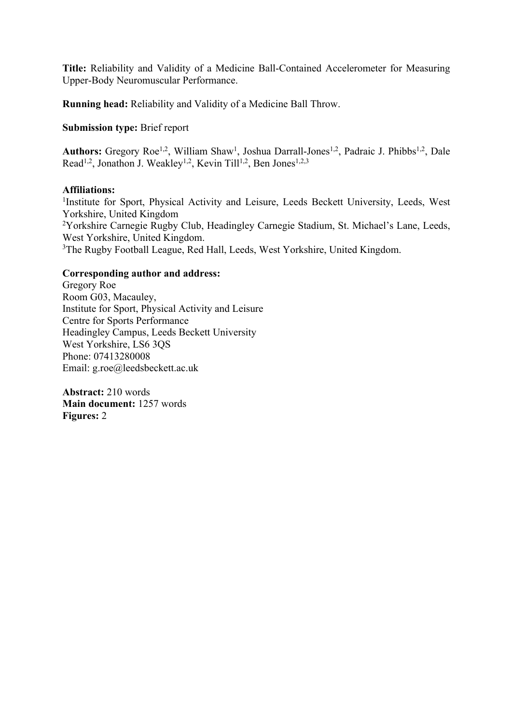**Title:** Reliability and Validity of a Medicine Ball-Contained Accelerometer for Measuring Upper-Body Neuromuscular Performance.

**Running head:** Reliability and Validity of a Medicine Ball Throw.

### **Submission type:** Brief report

Authors: Gregory Roe<sup>1,2</sup>, William Shaw<sup>1</sup>, Joshua Darrall-Jones<sup>1,2</sup>, Padraic J. Phibbs<sup>1,2</sup>, Dale Read<sup>1,2</sup>, Jonathon J. Weakley<sup>1,2</sup>, Kevin Till<sup>1,2</sup>, Ben Jones<sup>1,2,3</sup>

#### **Affiliations:**

<sup>1</sup>Institute for Sport, Physical Activity and Leisure, Leeds Beckett University, Leeds, West Yorkshire, United Kingdom <sup>2</sup>Yorkshire Carnegie Rugby Club, Headingley Carnegie Stadium, St. Michael's Lane, Leeds, West Yorkshire, United Kingdom. <sup>3</sup>The Rugby Football League, Red Hall, Leeds, West Yorkshire, United Kingdom.

#### **Corresponding author and address:**

Gregory Roe Room G03, Macauley, Institute for Sport, Physical Activity and Leisure Centre for Sports Performance Headingley Campus, Leeds Beckett University West Yorkshire, LS6 3QS Phone: 07413280008 Email: g.roe@leedsbeckett.ac.uk

**Abstract:** 210 words **Main document:** 1257 words **Figures:** 2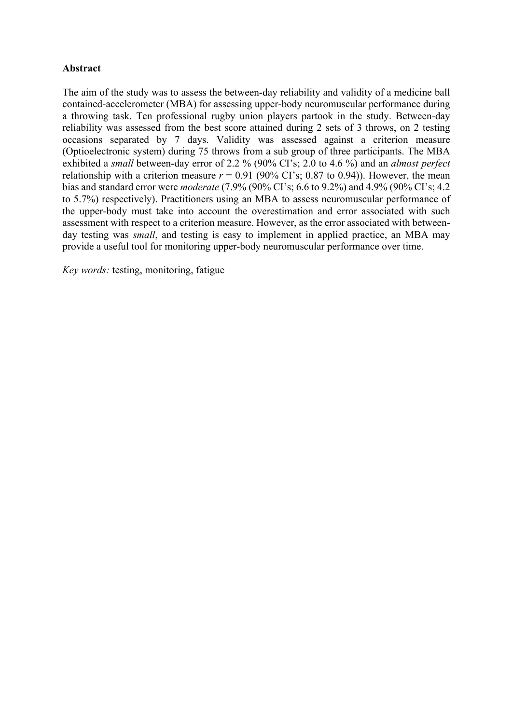## **Abstract**

The aim of the study was to assess the between-day reliability and validity of a medicine ball contained-accelerometer (MBA) for assessing upper-body neuromuscular performance during a throwing task. Ten professional rugby union players partook in the study. Between-day reliability was assessed from the best score attained during 2 sets of 3 throws, on 2 testing occasions separated by 7 days. Validity was assessed against a criterion measure (Optioelectronic system) during 75 throws from a sub group of three participants. The MBA exhibited a *small* between-day error of 2.2 % (90% CI's; 2.0 to 4.6 %) and an *almost perfect* relationship with a criterion measure  $r = 0.91$  (90% CI's; 0.87 to 0.94)). However, the mean bias and standard error were *moderate* (7.9% (90% CI's; 6.6 to 9.2%) and 4.9% (90% CI's; 4.2 to 5.7%) respectively). Practitioners using an MBA to assess neuromuscular performance of the upper-body must take into account the overestimation and error associated with such assessment with respect to a criterion measure. However, as the error associated with betweenday testing was *small*, and testing is easy to implement in applied practice, an MBA may provide a useful tool for monitoring upper-body neuromuscular performance over time.

*Key words:* testing, monitoring, fatigue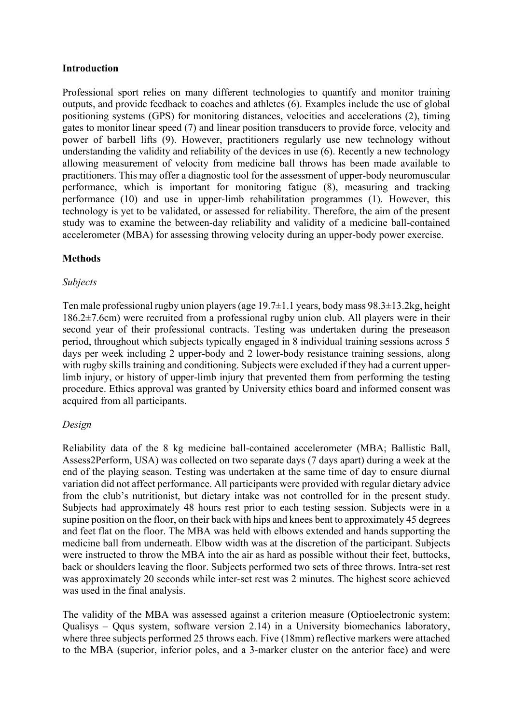## **Introduction**

Professional sport relies on many different technologies to quantify and monitor training outputs, and provide feedback to coaches and athletes (6). Examples include the use of global positioning systems (GPS) for monitoring distances, velocities and accelerations (2), timing gates to monitor linear speed (7) and linear position transducers to provide force, velocity and power of barbell lifts (9). However, practitioners regularly use new technology without understanding the validity and reliability of the devices in use (6). Recently a new technology allowing measurement of velocity from medicine ball throws has been made available to practitioners. This may offer a diagnostic tool for the assessment of upper-body neuromuscular performance, which is important for monitoring fatigue (8), measuring and tracking performance (10) and use in upper-limb rehabilitation programmes (1). However, this technology is yet to be validated, or assessed for reliability. Therefore, the aim of the present study was to examine the between-day reliability and validity of a medicine ball-contained accelerometer (MBA) for assessing throwing velocity during an upper-body power exercise.

# **Methods**

## *Subjects*

Ten male professional rugby union players (age 19.7±1.1 years, body mass 98.3±13.2kg, height 186.2±7.6cm) were recruited from a professional rugby union club. All players were in their second year of their professional contracts. Testing was undertaken during the preseason period, throughout which subjects typically engaged in 8 individual training sessions across 5 days per week including 2 upper-body and 2 lower-body resistance training sessions, along with rugby skills training and conditioning. Subjects were excluded if they had a current upperlimb injury, or history of upper-limb injury that prevented them from performing the testing procedure. Ethics approval was granted by University ethics board and informed consent was acquired from all participants.

# *Design*

Reliability data of the 8 kg medicine ball-contained accelerometer (MBA; Ballistic Ball, Assess2Perform, USA) was collected on two separate days (7 days apart) during a week at the end of the playing season. Testing was undertaken at the same time of day to ensure diurnal variation did not affect performance. All participants were provided with regular dietary advice from the club's nutritionist, but dietary intake was not controlled for in the present study. Subjects had approximately 48 hours rest prior to each testing session. Subjects were in a supine position on the floor, on their back with hips and knees bent to approximately 45 degrees and feet flat on the floor. The MBA was held with elbows extended and hands supporting the medicine ball from underneath. Elbow width was at the discretion of the participant. Subjects were instructed to throw the MBA into the air as hard as possible without their feet, buttocks, back or shoulders leaving the floor. Subjects performed two sets of three throws. Intra-set rest was approximately 20 seconds while inter-set rest was 2 minutes. The highest score achieved was used in the final analysis.

The validity of the MBA was assessed against a criterion measure (Optioelectronic system; Qualisys – Qqus system, software version 2.14) in a University biomechanics laboratory, where three subjects performed 25 throws each. Five (18mm) reflective markers were attached to the MBA (superior, inferior poles, and a 3-marker cluster on the anterior face) and were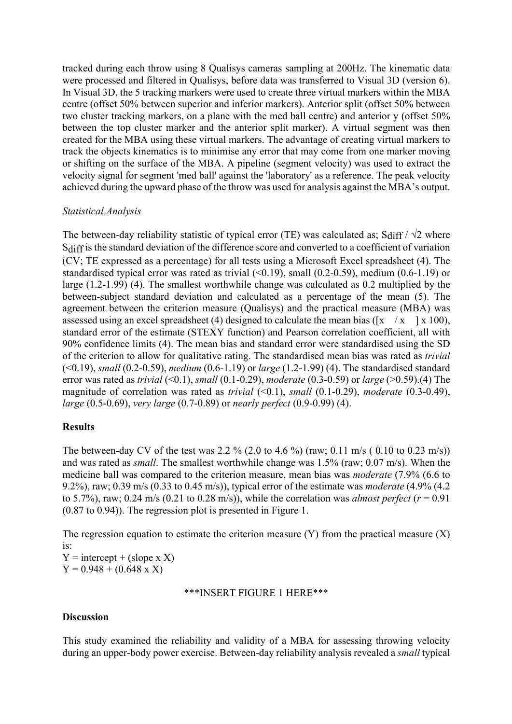tracked during each throw using 8 Qualisys cameras sampling at 200Hz. The kinematic data were processed and filtered in Qualisys, before data was transferred to Visual 3D (version 6). In Visual 3D, the 5 tracking markers were used to create three virtual markers within the MBA centre (offset 50% between superior and inferior markers). Anterior split (offset 50% between two cluster tracking markers, on a plane with the med ball centre) and anterior y (offset 50% between the top cluster marker and the anterior split marker). A virtual segment was then created for the MBA using these virtual markers. The advantage of creating virtual markers to track the objects kinematics is to minimise any error that may come from one marker moving or shifting on the surface of the MBA. A pipeline (segment velocity) was used to extract the velocity signal for segment 'med ball' against the 'laboratory' as a reference. The peak velocity achieved during the upward phase of the throw was used for analysis against the MBA's output.

## *Statistical Analysis*

The between-day reliability statistic of typical error (TE) was calculated as; Sdiff  $\sqrt{2}$  where Sdiff is the standard deviation of the difference score and converted to a coefficient of variation (CV; TE expressed as a percentage) for all tests using a Microsoft Excel spreadsheet (4). The standardised typical error was rated as trivial  $(50.19)$ , small  $(0.2-0.59)$ , medium  $(0.6-1.19)$  or large (1.2-1.99) (4). The smallest worthwhile change was calculated as 0.2 multiplied by the between-subject standard deviation and calculated as a percentage of the mean (5). The agreement between the criterion measure (Qualisys) and the practical measure (MBA) was assessed using an excel spreadsheet (4) designed to calculate the mean bias ( $[x \ x] \ x$  100), standard error of the estimate (STEXY function) and Pearson correlation coefficient, all with 90% confidence limits (4). The mean bias and standard error were standardised using the SD of the criterion to allow for qualitative rating. The standardised mean bias was rated as *trivial*  (<0.19), *small* (0.2-0.59), *medium* (0.6-1.19) or *large* (1.2-1.99) (4). The standardised standard error was rated as *trivial* (<0.1), *small* (0.1-0.29), *moderate* (0.3-0.59) or *large* (>0.59).(4) The magnitude of correlation was rated as *trivial* (<0.1), *small* (0.1-0.29), *moderate* (0.3-0.49), *large* (0.5-0.69), *very large* (0.7-0.89) or *nearly perfect* (0.9-0.99) (4).

### **Results**

The between-day CV of the test was 2.2 % (2.0 to 4.6 %) (raw; 0.11 m/s (0.10 to 0.23 m/s)) and was rated as *small*. The smallest worthwhile change was 1.5% (raw; 0.07 m/s). When the medicine ball was compared to the criterion measure, mean bias was *moderate* (7.9% (6.6 to 9.2%), raw; 0.39 m/s (0.33 to 0.45 m/s)), typical error of the estimate was *moderate* (4.9% (4.2 to 5.7%), raw;  $0.24 \text{ m/s}$  ( $0.21 \text{ to } 0.28 \text{ m/s}$ )), while the correlation was *almost perfect* ( $r = 0.91$ ) (0.87 to 0.94)). The regression plot is presented in Figure 1.

The regression equation to estimate the criterion measure  $(Y)$  from the practical measure  $(X)$ is:

 $Y =$  intercept + (slope x X)  $Y = 0.948 + (0.648 \text{ x X})$ 

### \*\*\*INSERT FIGURE 1 HERE\*\*\*

### **Discussion**

This study examined the reliability and validity of a MBA for assessing throwing velocity during an upper-body power exercise. Between-day reliability analysis revealed a *small* typical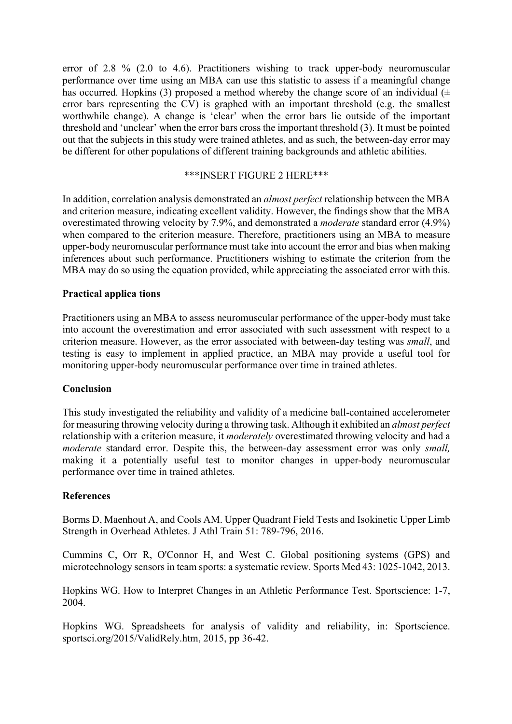error of 2.8 % (2.0 to 4.6). Practitioners wishing to track upper-body neuromuscular performance over time using an MBA can use this statistic to assess if a meaningful change has occurred. Hopkins (3) proposed a method whereby the change score of an individual  $(\pm)$ error bars representing the CV) is graphed with an important threshold (e.g. the smallest worthwhile change). A change is 'clear' when the error bars lie outside of the important threshold and 'unclear' when the error bars cross the important threshold (3). It must be pointed out that the subjects in this study were trained athletes, and as such, the between-day error may be different for other populations of different training backgrounds and athletic abilities.

## \*\*\*INSERT FIGURE 2 HERE\*\*\*

In addition, correlation analysis demonstrated an *almost perfect* relationship between the MBA and criterion measure, indicating excellent validity. However, the findings show that the MBA overestimated throwing velocity by 7.9%, and demonstrated a *moderate* standard error (4.9%) when compared to the criterion measure. Therefore, practitioners using an MBA to measure upper-body neuromuscular performance must take into account the error and bias when making inferences about such performance. Practitioners wishing to estimate the criterion from the MBA may do so using the equation provided, while appreciating the associated error with this.

## **Practical applica tions**

Practitioners using an MBA to assess neuromuscular performance of the upper-body must take into account the overestimation and error associated with such assessment with respect to a criterion measure. However, as the error associated with between-day testing was *small*, and testing is easy to implement in applied practice, an MBA may provide a useful tool for monitoring upper-body neuromuscular performance over time in trained athletes.

### **Conclusion**

This study investigated the reliability and validity of a medicine ball-contained accelerometer for measuring throwing velocity during a throwing task. Although it exhibited an *almost perfect*  relationship with a criterion measure, it *moderately* overestimated throwing velocity and had a *moderate* standard error. Despite this, the between-day assessment error was only *small,*  making it a potentially useful test to monitor changes in upper-body neuromuscular performance over time in trained athletes.

### **References**

Borms D, Maenhout A, and Cools AM. Upper Quadrant Field Tests and Isokinetic Upper Limb Strength in Overhead Athletes. J Athl Train 51: 789-796, 2016.

Cummins C, Orr R, O'Connor H, and West C. Global positioning systems (GPS) and microtechnology sensors in team sports: a systematic review. Sports Med 43: 1025-1042, 2013.

Hopkins WG. How to Interpret Changes in an Athletic Performance Test. Sportscience: 1-7, 2004.

Hopkins WG. Spreadsheets for analysis of validity and reliability, in: Sportscience. sportsci.org/2015/ValidRely.htm, 2015, pp 36-42.